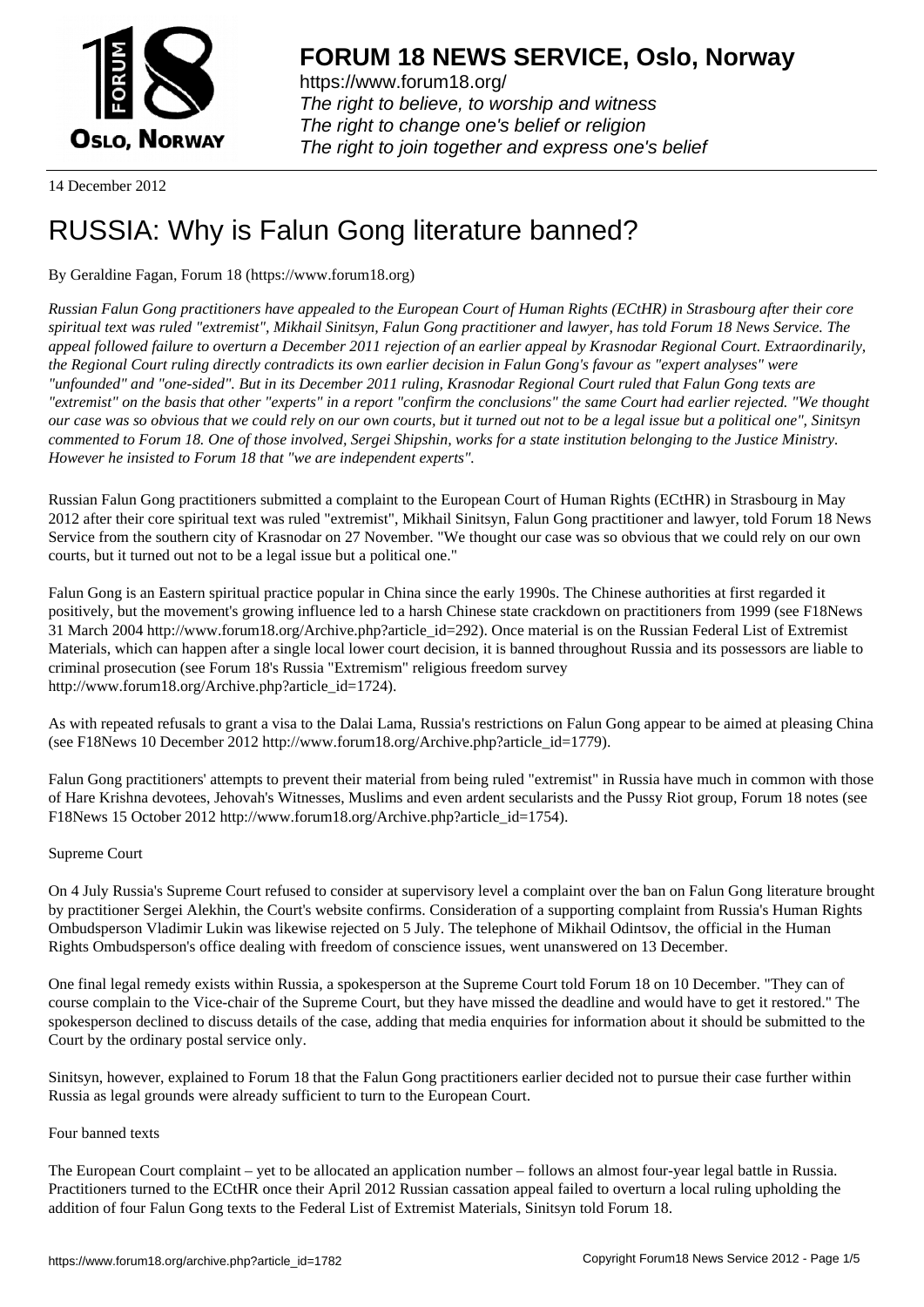

https://www.forum18.org/ The right to believe, to worship and witness The right to change one's belief or religion [The right to join together a](https://www.forum18.org/)nd express one's belief

14 December 2012

# [RUSSIA: Why i](https://www.forum18.org)s Falun Gong literature banned?

## By Geraldine Fagan, Forum 18 (https://www.forum18.org)

*Russian Falun Gong practitioners have appealed to the European Court of Human Rights (ECtHR) in Strasbourg after their core spiritual text was ruled "extremist", Mikhail Sinitsyn, Falun Gong practitioner and lawyer, has told Forum 18 News Service. The appeal followed failure to overturn a December 2011 rejection of an earlier appeal by Krasnodar Regional Court. Extraordinarily, the Regional Court ruling directly contradicts its own earlier decision in Falun Gong's favour as "expert analyses" were "unfounded" and "one-sided". But in its December 2011 ruling, Krasnodar Regional Court ruled that Falun Gong texts are "extremist" on the basis that other "experts" in a report "confirm the conclusions" the same Court had earlier rejected. "We thought our case was so obvious that we could rely on our own courts, but it turned out not to be a legal issue but a political one", Sinitsyn commented to Forum 18. One of those involved, Sergei Shipshin, works for a state institution belonging to the Justice Ministry. However he insisted to Forum 18 that "we are independent experts".*

Russian Falun Gong practitioners submitted a complaint to the European Court of Human Rights (ECtHR) in Strasbourg in May 2012 after their core spiritual text was ruled "extremist", Mikhail Sinitsyn, Falun Gong practitioner and lawyer, told Forum 18 News Service from the southern city of Krasnodar on 27 November. "We thought our case was so obvious that we could rely on our own courts, but it turned out not to be a legal issue but a political one."

Falun Gong is an Eastern spiritual practice popular in China since the early 1990s. The Chinese authorities at first regarded it positively, but the movement's growing influence led to a harsh Chinese state crackdown on practitioners from 1999 (see F18News 31 March 2004 http://www.forum18.org/Archive.php?article\_id=292). Once material is on the Russian Federal List of Extremist Materials, which can happen after a single local lower court decision, it is banned throughout Russia and its possessors are liable to criminal prosecution (see Forum 18's Russia "Extremism" religious freedom survey http://www.forum18.org/Archive.php?article\_id=1724).

As with repeated refusals to grant a visa to the Dalai Lama, Russia's restrictions on Falun Gong appear to be aimed at pleasing China (see F18News 10 December 2012 http://www.forum18.org/Archive.php?article\_id=1779).

Falun Gong practitioners' attempts to prevent their material from being ruled "extremist" in Russia have much in common with those of Hare Krishna devotees, Jehovah's Witnesses, Muslims and even ardent secularists and the Pussy Riot group, Forum 18 notes (see F18News 15 October 2012 http://www.forum18.org/Archive.php?article\_id=1754).

### Supreme Court

On 4 July Russia's Supreme Court refused to consider at supervisory level a complaint over the ban on Falun Gong literature brought by practitioner Sergei Alekhin, the Court's website confirms. Consideration of a supporting complaint from Russia's Human Rights Ombudsperson Vladimir Lukin was likewise rejected on 5 July. The telephone of Mikhail Odintsov, the official in the Human Rights Ombudsperson's office dealing with freedom of conscience issues, went unanswered on 13 December.

One final legal remedy exists within Russia, a spokesperson at the Supreme Court told Forum 18 on 10 December. "They can of course complain to the Vice-chair of the Supreme Court, but they have missed the deadline and would have to get it restored." The spokesperson declined to discuss details of the case, adding that media enquiries for information about it should be submitted to the Court by the ordinary postal service only.

Sinitsyn, however, explained to Forum 18 that the Falun Gong practitioners earlier decided not to pursue their case further within Russia as legal grounds were already sufficient to turn to the European Court.

### Four banned texts

The European Court complaint – yet to be allocated an application number – follows an almost four-year legal battle in Russia. Practitioners turned to the ECtHR once their April 2012 Russian cassation appeal failed to overturn a local ruling upholding the addition of four Falun Gong texts to the Federal List of Extremist Materials, Sinitsyn told Forum 18.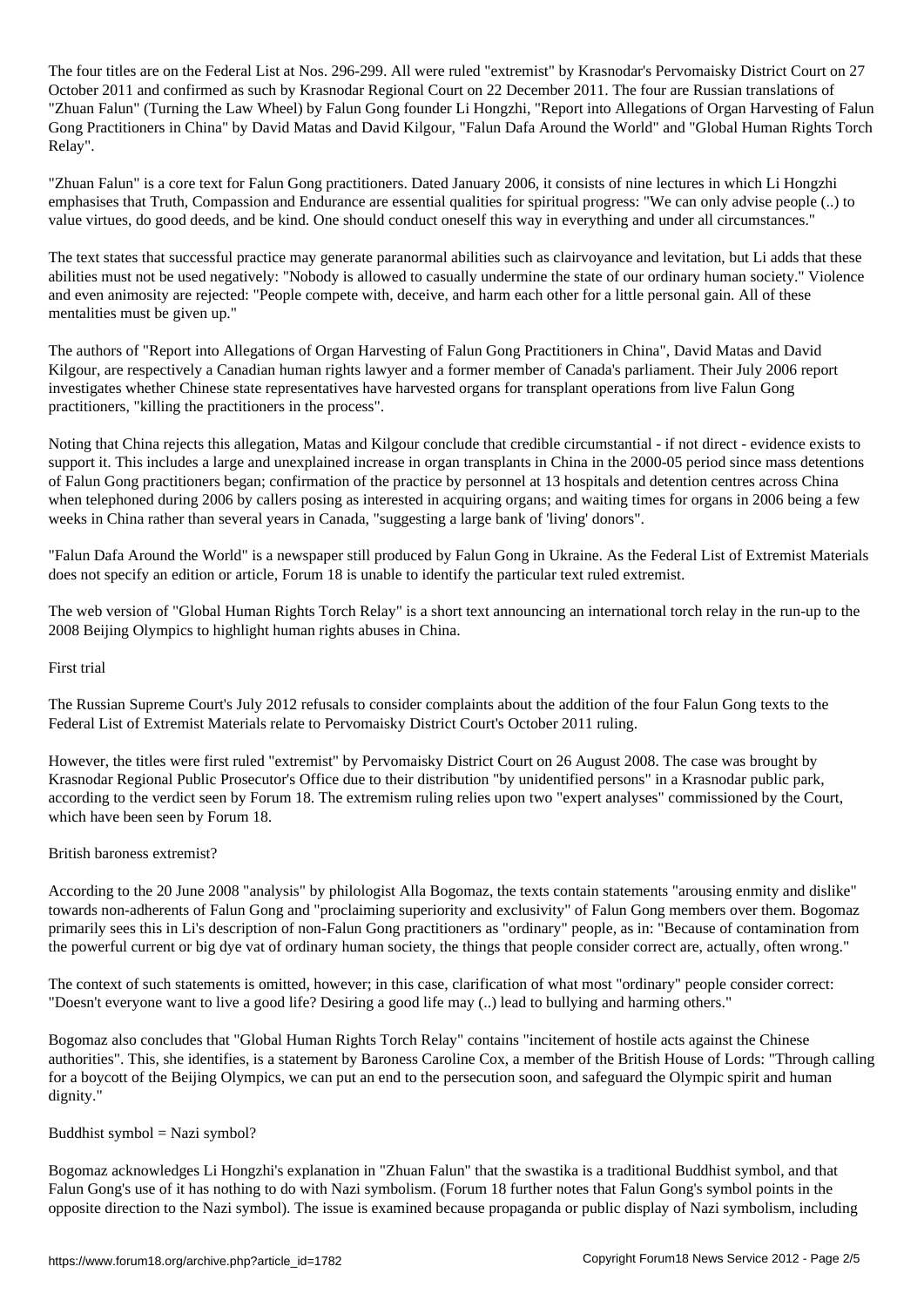The four titles are on the Federal List at Nos. 296-299. All were ruled  $\mathcal{A}$ October 2011 and confirmed as such by Krasnodar Regional Court on 22 December 2011. The four are Russian translations of "Zhuan Falun" (Turning the Law Wheel) by Falun Gong founder Li Hongzhi, "Report into Allegations of Organ Harvesting of Falun Gong Practitioners in China" by David Matas and David Kilgour, "Falun Dafa Around the World" and "Global Human Rights Torch Relay".

"Zhuan Falun" is a core text for Falun Gong practitioners. Dated January 2006, it consists of nine lectures in which Li Hongzhi emphasises that Truth, Compassion and Endurance are essential qualities for spiritual progress: "We can only advise people (..) to value virtues, do good deeds, and be kind. One should conduct oneself this way in everything and under all circumstances."

The text states that successful practice may generate paranormal abilities such as clairvoyance and levitation, but Li adds that these abilities must not be used negatively: "Nobody is allowed to casually undermine the state of our ordinary human society." Violence and even animosity are rejected: "People compete with, deceive, and harm each other for a little personal gain. All of these mentalities must be given up."

The authors of "Report into Allegations of Organ Harvesting of Falun Gong Practitioners in China", David Matas and David Kilgour, are respectively a Canadian human rights lawyer and a former member of Canada's parliament. Their July 2006 report investigates whether Chinese state representatives have harvested organs for transplant operations from live Falun Gong practitioners, "killing the practitioners in the process".

Noting that China rejects this allegation, Matas and Kilgour conclude that credible circumstantial - if not direct - evidence exists to support it. This includes a large and unexplained increase in organ transplants in China in the 2000-05 period since mass detentions of Falun Gong practitioners began; confirmation of the practice by personnel at 13 hospitals and detention centres across China when telephoned during 2006 by callers posing as interested in acquiring organs; and waiting times for organs in 2006 being a few weeks in China rather than several years in Canada, "suggesting a large bank of 'living' donors".

"Falun Dafa Around the World" is a newspaper still produced by Falun Gong in Ukraine. As the Federal List of Extremist Materials does not specify an edition or article, Forum 18 is unable to identify the particular text ruled extremist.

The web version of "Global Human Rights Torch Relay" is a short text announcing an international torch relay in the run-up to the 2008 Beijing Olympics to highlight human rights abuses in China.

### First trial

The Russian Supreme Court's July 2012 refusals to consider complaints about the addition of the four Falun Gong texts to the Federal List of Extremist Materials relate to Pervomaisky District Court's October 2011 ruling.

However, the titles were first ruled "extremist" by Pervomaisky District Court on 26 August 2008. The case was brought by Krasnodar Regional Public Prosecutor's Office due to their distribution "by unidentified persons" in a Krasnodar public park, according to the verdict seen by Forum 18. The extremism ruling relies upon two "expert analyses" commissioned by the Court, which have been seen by Forum 18.

### British baroness extremist?

According to the 20 June 2008 "analysis" by philologist Alla Bogomaz, the texts contain statements "arousing enmity and dislike" towards non-adherents of Falun Gong and "proclaiming superiority and exclusivity" of Falun Gong members over them. Bogomaz primarily sees this in Li's description of non-Falun Gong practitioners as "ordinary" people, as in: "Because of contamination from the powerful current or big dye vat of ordinary human society, the things that people consider correct are, actually, often wrong."

The context of such statements is omitted, however; in this case, clarification of what most "ordinary" people consider correct: "Doesn't everyone want to live a good life? Desiring a good life may (..) lead to bullying and harming others."

Bogomaz also concludes that "Global Human Rights Torch Relay" contains "incitement of hostile acts against the Chinese authorities". This, she identifies, is a statement by Baroness Caroline Cox, a member of the British House of Lords: "Through calling for a boycott of the Beijing Olympics, we can put an end to the persecution soon, and safeguard the Olympic spirit and human dignity."

### Buddhist symbol  $=$  Nazi symbol?

Bogomaz acknowledges Li Hongzhi's explanation in "Zhuan Falun" that the swastika is a traditional Buddhist symbol, and that Falun Gong's use of it has nothing to do with Nazi symbolism. (Forum 18 further notes that Falun Gong's symbol points in the opposite direction to the Nazi symbol). The issue is examined because propaganda or public display of Nazi symbolism, including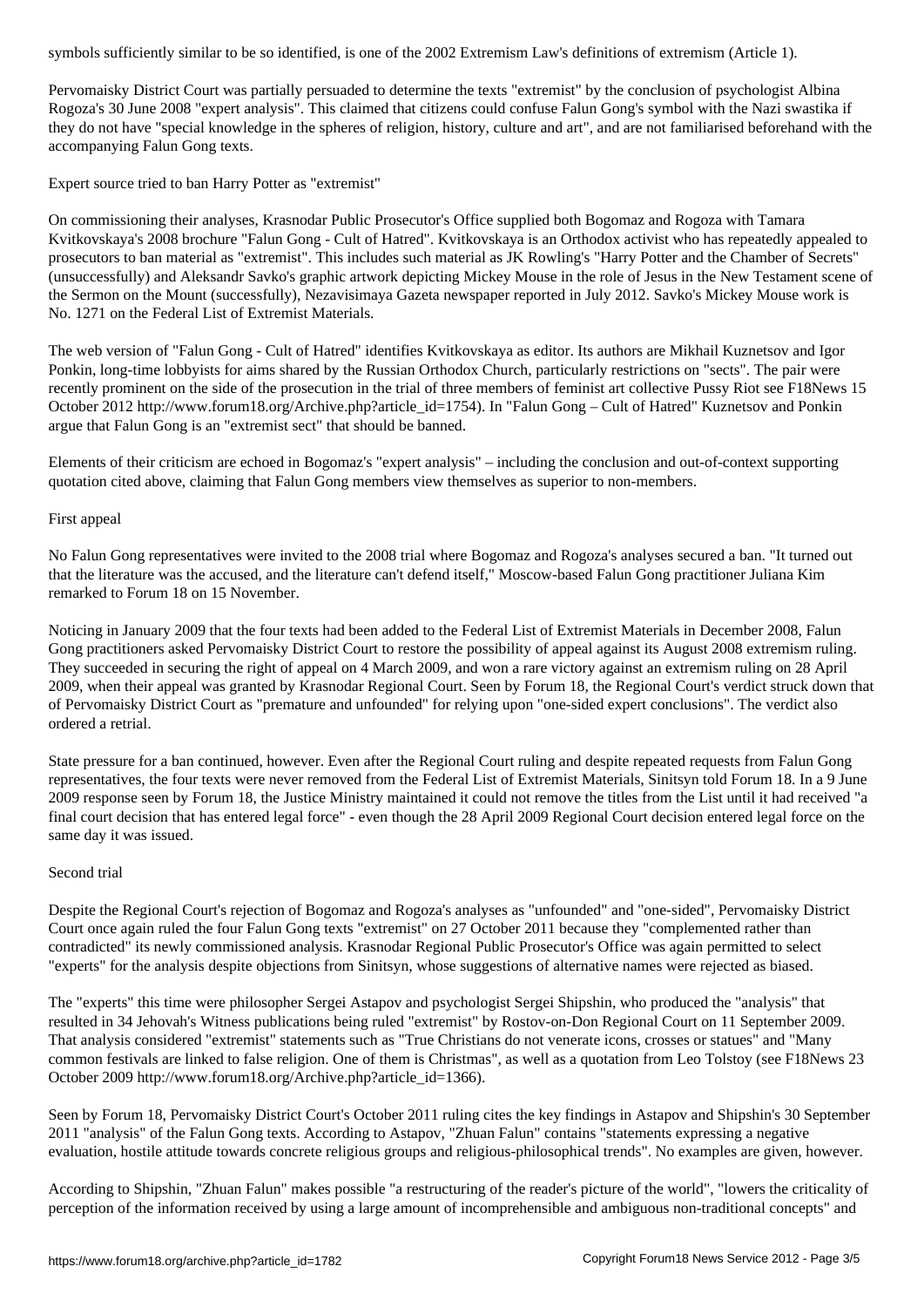Pervomaisky District Court was partially persuaded to determine the texts "extremist" by the conclusion of psychologist Albina Rogoza's 30 June 2008 "expert analysis". This claimed that citizens could confuse Falun Gong's symbol with the Nazi swastika if they do not have "special knowledge in the spheres of religion, history, culture and art", and are not familiarised beforehand with the accompanying Falun Gong texts.

Expert source tried to ban Harry Potter as "extremist"

On commissioning their analyses, Krasnodar Public Prosecutor's Office supplied both Bogomaz and Rogoza with Tamara Kvitkovskaya's 2008 brochure "Falun Gong - Cult of Hatred". Kvitkovskaya is an Orthodox activist who has repeatedly appealed to prosecutors to ban material as "extremist". This includes such material as JK Rowling's "Harry Potter and the Chamber of Secrets" (unsuccessfully) and Aleksandr Savko's graphic artwork depicting Mickey Mouse in the role of Jesus in the New Testament scene of the Sermon on the Mount (successfully), Nezavisimaya Gazeta newspaper reported in July 2012. Savko's Mickey Mouse work is No. 1271 on the Federal List of Extremist Materials.

The web version of "Falun Gong - Cult of Hatred" identifies Kvitkovskaya as editor. Its authors are Mikhail Kuznetsov and Igor Ponkin, long-time lobbyists for aims shared by the Russian Orthodox Church, particularly restrictions on "sects". The pair were recently prominent on the side of the prosecution in the trial of three members of feminist art collective Pussy Riot see F18News 15 October 2012 http://www.forum18.org/Archive.php?article\_id=1754). In "Falun Gong – Cult of Hatred" Kuznetsov and Ponkin argue that Falun Gong is an "extremist sect" that should be banned.

Elements of their criticism are echoed in Bogomaz's "expert analysis" – including the conclusion and out-of-context supporting quotation cited above, claiming that Falun Gong members view themselves as superior to non-members.

### First appeal

No Falun Gong representatives were invited to the 2008 trial where Bogomaz and Rogoza's analyses secured a ban. "It turned out that the literature was the accused, and the literature can't defend itself," Moscow-based Falun Gong practitioner Juliana Kim remarked to Forum 18 on 15 November.

Noticing in January 2009 that the four texts had been added to the Federal List of Extremist Materials in December 2008, Falun Gong practitioners asked Pervomaisky District Court to restore the possibility of appeal against its August 2008 extremism ruling. They succeeded in securing the right of appeal on 4 March 2009, and won a rare victory against an extremism ruling on 28 April 2009, when their appeal was granted by Krasnodar Regional Court. Seen by Forum 18, the Regional Court's verdict struck down that of Pervomaisky District Court as "premature and unfounded" for relying upon "one-sided expert conclusions". The verdict also ordered a retrial.

State pressure for a ban continued, however. Even after the Regional Court ruling and despite repeated requests from Falun Gong representatives, the four texts were never removed from the Federal List of Extremist Materials, Sinitsyn told Forum 18. In a 9 June 2009 response seen by Forum 18, the Justice Ministry maintained it could not remove the titles from the List until it had received "a final court decision that has entered legal force" - even though the 28 April 2009 Regional Court decision entered legal force on the same day it was issued.

### Second trial

Despite the Regional Court's rejection of Bogomaz and Rogoza's analyses as "unfounded" and "one-sided", Pervomaisky District Court once again ruled the four Falun Gong texts "extremist" on 27 October 2011 because they "complemented rather than contradicted" its newly commissioned analysis. Krasnodar Regional Public Prosecutor's Office was again permitted to select "experts" for the analysis despite objections from Sinitsyn, whose suggestions of alternative names were rejected as biased.

The "experts" this time were philosopher Sergei Astapov and psychologist Sergei Shipshin, who produced the "analysis" that resulted in 34 Jehovah's Witness publications being ruled "extremist" by Rostov-on-Don Regional Court on 11 September 2009. That analysis considered "extremist" statements such as "True Christians do not venerate icons, crosses or statues" and "Many common festivals are linked to false religion. One of them is Christmas", as well as a quotation from Leo Tolstoy (see F18News 23 October 2009 http://www.forum18.org/Archive.php?article\_id=1366).

Seen by Forum 18, Pervomaisky District Court's October 2011 ruling cites the key findings in Astapov and Shipshin's 30 September 2011 "analysis" of the Falun Gong texts. According to Astapov, "Zhuan Falun" contains "statements expressing a negative evaluation, hostile attitude towards concrete religious groups and religious-philosophical trends". No examples are given, however.

According to Shipshin, "Zhuan Falun" makes possible "a restructuring of the reader's picture of the world", "lowers the criticality of perception of the information received by using a large amount of incomprehensible and ambiguous non-traditional concepts" and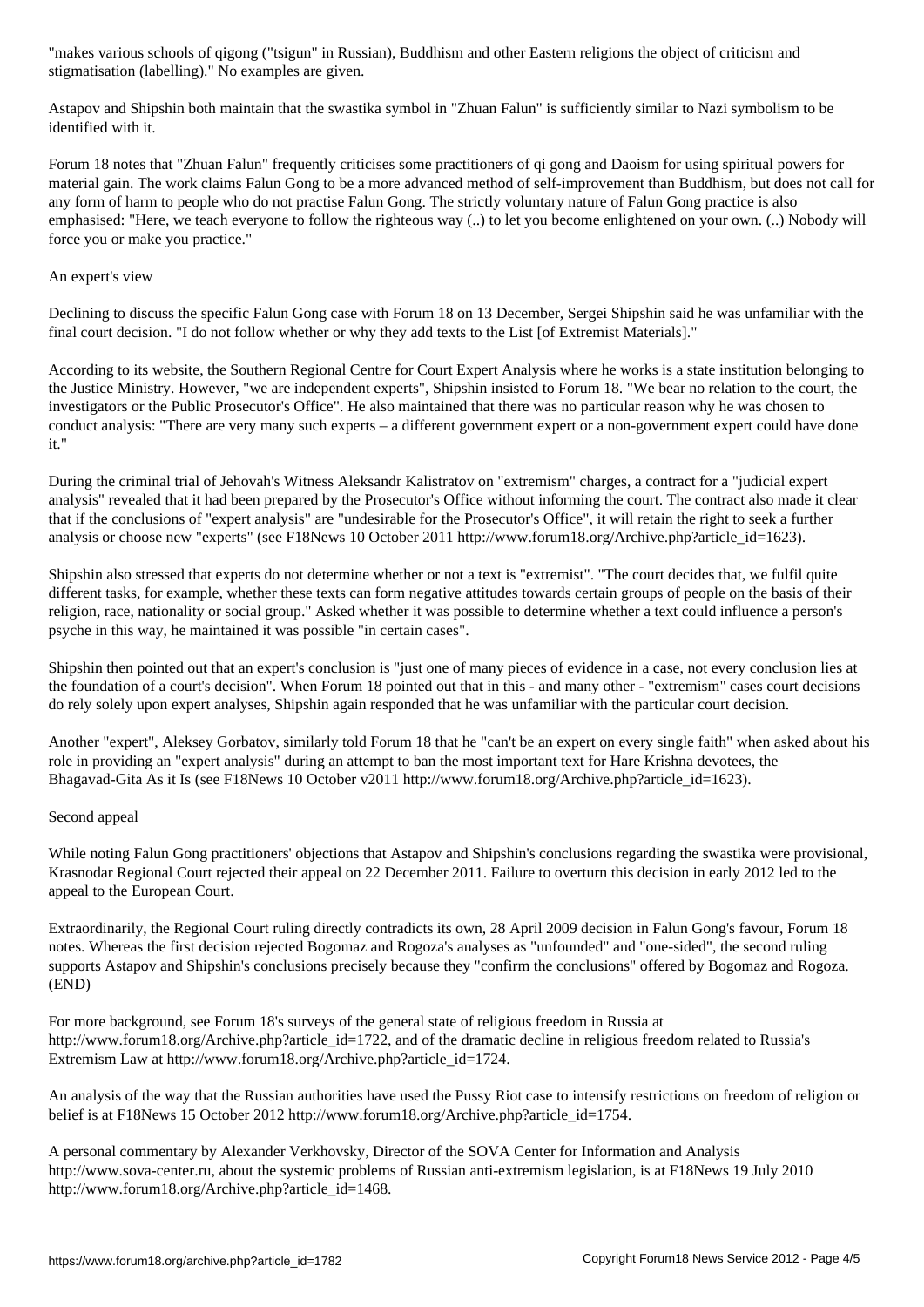stigmatisation (labelling)." No examples are given.

Astapov and Shipshin both maintain that the swastika symbol in "Zhuan Falun" is sufficiently similar to Nazi symbolism to be identified with it.

Forum 18 notes that "Zhuan Falun" frequently criticises some practitioners of qi gong and Daoism for using spiritual powers for material gain. The work claims Falun Gong to be a more advanced method of self-improvement than Buddhism, but does not call for any form of harm to people who do not practise Falun Gong. The strictly voluntary nature of Falun Gong practice is also emphasised: "Here, we teach everyone to follow the righteous way (..) to let you become enlightened on your own. (..) Nobody will force you or make you practice."

### An expert's view

Declining to discuss the specific Falun Gong case with Forum 18 on 13 December, Sergei Shipshin said he was unfamiliar with the final court decision. "I do not follow whether or why they add texts to the List [of Extremist Materials]."

According to its website, the Southern Regional Centre for Court Expert Analysis where he works is a state institution belonging to the Justice Ministry. However, "we are independent experts", Shipshin insisted to Forum 18. "We bear no relation to the court, the investigators or the Public Prosecutor's Office". He also maintained that there was no particular reason why he was chosen to conduct analysis: "There are very many such experts – a different government expert or a non-government expert could have done it."

During the criminal trial of Jehovah's Witness Aleksandr Kalistratov on "extremism" charges, a contract for a "judicial expert analysis" revealed that it had been prepared by the Prosecutor's Office without informing the court. The contract also made it clear that if the conclusions of "expert analysis" are "undesirable for the Prosecutor's Office", it will retain the right to seek a further analysis or choose new "experts" (see F18News 10 October 2011 http://www.forum18.org/Archive.php?article\_id=1623).

Shipshin also stressed that experts do not determine whether or not a text is "extremist". "The court decides that, we fulfil quite different tasks, for example, whether these texts can form negative attitudes towards certain groups of people on the basis of their religion, race, nationality or social group." Asked whether it was possible to determine whether a text could influence a person's psyche in this way, he maintained it was possible "in certain cases".

Shipshin then pointed out that an expert's conclusion is "just one of many pieces of evidence in a case, not every conclusion lies at the foundation of a court's decision". When Forum 18 pointed out that in this - and many other - "extremism" cases court decisions do rely solely upon expert analyses, Shipshin again responded that he was unfamiliar with the particular court decision.

Another "expert", Aleksey Gorbatov, similarly told Forum 18 that he "can't be an expert on every single faith" when asked about his role in providing an "expert analysis" during an attempt to ban the most important text for Hare Krishna devotees, the Bhagavad-Gita As it Is (see F18News 10 October v2011 http://www.forum18.org/Archive.php?article\_id=1623).

### Second appeal

While noting Falun Gong practitioners' objections that Astapov and Shipshin's conclusions regarding the swastika were provisional, Krasnodar Regional Court rejected their appeal on 22 December 2011. Failure to overturn this decision in early 2012 led to the appeal to the European Court.

Extraordinarily, the Regional Court ruling directly contradicts its own, 28 April 2009 decision in Falun Gong's favour, Forum 18 notes. Whereas the first decision rejected Bogomaz and Rogoza's analyses as "unfounded" and "one-sided", the second ruling supports Astapov and Shipshin's conclusions precisely because they "confirm the conclusions" offered by Bogomaz and Rogoza. (END)

For more background, see Forum 18's surveys of the general state of religious freedom in Russia at http://www.forum18.org/Archive.php?article\_id=1722, and of the dramatic decline in religious freedom related to Russia's Extremism Law at http://www.forum18.org/Archive.php?article\_id=1724.

An analysis of the way that the Russian authorities have used the Pussy Riot case to intensify restrictions on freedom of religion or belief is at F18News 15 October 2012 http://www.forum18.org/Archive.php?article\_id=1754.

A personal commentary by Alexander Verkhovsky, Director of the SOVA Center for Information and Analysis http://www.sova-center.ru, about the systemic problems of Russian anti-extremism legislation, is at F18News 19 July 2010 http://www.forum18.org/Archive.php?article\_id=1468.